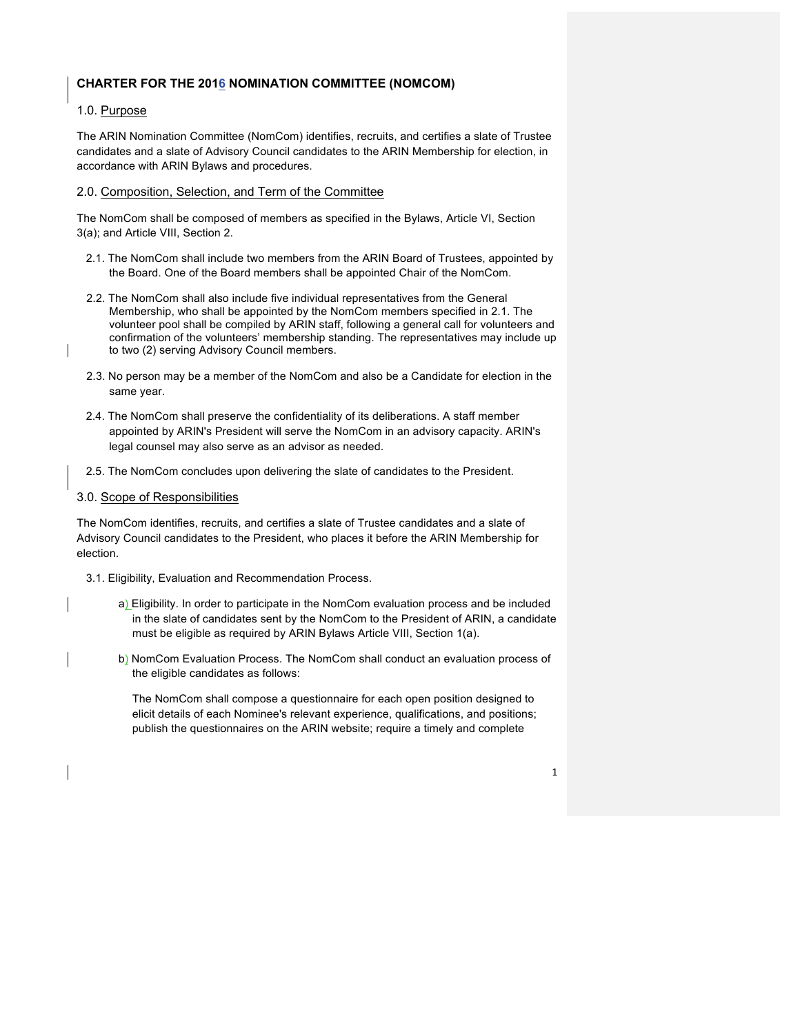## **CHARTER FOR THE 2016 NOMINATION COMMITTEE (NOMCOM)**

## 1.0. Purpose

The ARIN Nomination Committee (NomCom) identifies, recruits, and certifies a slate of Trustee candidates and a slate of Advisory Council candidates to the ARIN Membership for election, in accordance with ARIN Bylaws and procedures.

## 2.0. Composition, Selection, and Term of the Committee

The NomCom shall be composed of members as specified in the Bylaws, Article VI, Section 3(a); and Article VIII, Section 2.

- 2.1. The NomCom shall include two members from the ARIN Board of Trustees, appointed by the Board. One of the Board members shall be appointed Chair of the NomCom.
- 2.2. The NomCom shall also include five individual representatives from the General Membership, who shall be appointed by the NomCom members specified in 2.1. The volunteer pool shall be compiled by ARIN staff, following a general call for volunteers and confirmation of the volunteers' membership standing. The representatives may include up to two (2) serving Advisory Council members.
- 2.3. No person may be a member of the NomCom and also be a Candidate for election in the same year.
- 2.4. The NomCom shall preserve the confidentiality of its deliberations. A staff member appointed by ARIN's President will serve the NomCom in an advisory capacity. ARIN's legal counsel may also serve as an advisor as needed.
- 2.5. The NomCom concludes upon delivering the slate of candidates to the President.

## 3.0. Scope of Responsibilities

The NomCom identifies, recruits, and certifies a slate of Trustee candidates and a slate of Advisory Council candidates to the President, who places it before the ARIN Membership for election.

- 3.1. Eligibility, Evaluation and Recommendation Process.
	- a) Eligibility. In order to participate in the NomCom evaluation process and be included in the slate of candidates sent by the NomCom to the President of ARIN, a candidate must be eligible as required by ARIN Bylaws Article VIII, Section 1(a).
	- b) NomCom Evaluation Process. The NomCom shall conduct an evaluation process of the eligible candidates as follows:

The NomCom shall compose a questionnaire for each open position designed to elicit details of each Nominee's relevant experience, qualifications, and positions; publish the questionnaires on the ARIN website; require a timely and complete

1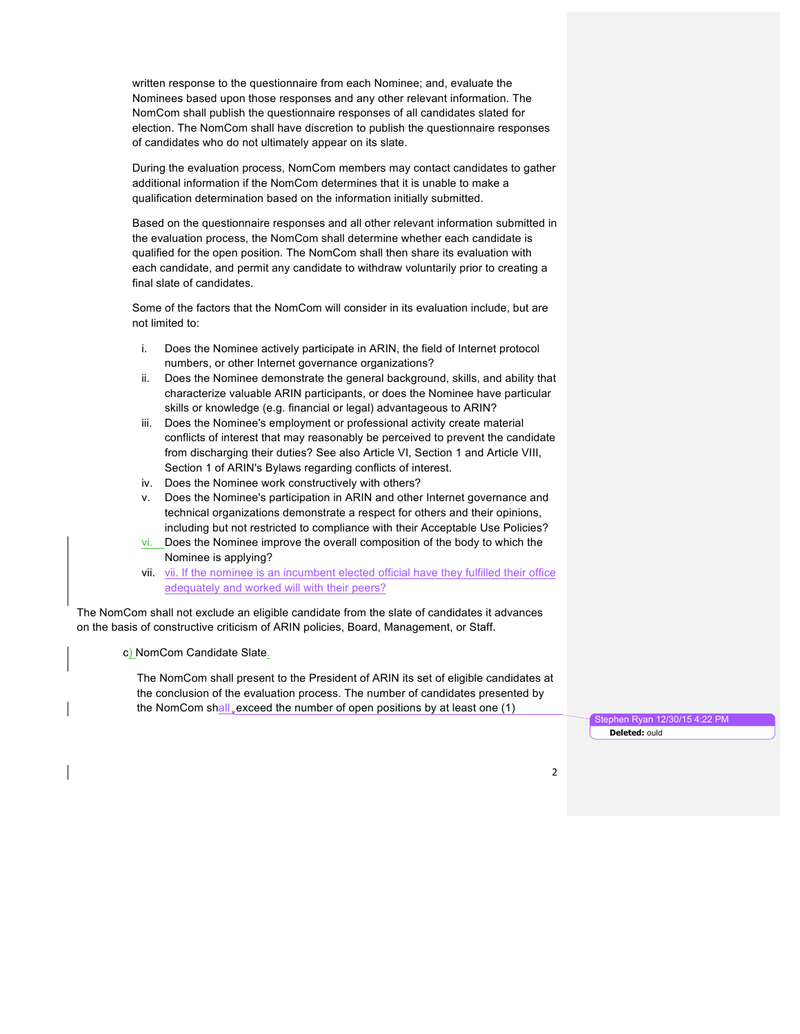written response to the questionnaire from each Nominee; and, evaluate the Nominees based upon those responses and any other relevant information. The NomCom shall publish the questionnaire responses of all candidates slated for election. The NomCom shall have discretion to publish the questionnaire responses of candidates who do not ultimately appear on its slate.

During the evaluation process, NomCom members may contact candidates to gather additional information if the NomCom determines that it is unable to make a qualification determination based on the information initially submitted.

Based on the questionnaire responses and all other relevant information submitted in the evaluation process, the NomCom shall determine whether each candidate is qualified for the open position. The NomCom shall then share its evaluation with each candidate, and permit any candidate to withdraw voluntarily prior to creating a final slate of candidates.

Some of the factors that the NomCom will consider in its evaluation include, but are not limited to:

- i. Does the Nominee actively participate in ARIN, the field of Internet protocol numbers, or other Internet governance organizations?
- ii. Does the Nominee demonstrate the general background, skills, and ability that characterize valuable ARIN participants, or does the Nominee have particular skills or knowledge (e.g. financial or legal) advantageous to ARIN?
- iii. Does the Nominee's employment or professional activity create material conflicts of interest that may reasonably be perceived to prevent the candidate from discharging their duties? See also Article VI, Section 1 and Article VIII, Section 1 of ARIN's Bylaws regarding conflicts of interest.
- iv. Does the Nominee work constructively with others?
- v. Does the Nominee's participation in ARIN and other Internet governance and technical organizations demonstrate a respect for others and their opinions, including but not restricted to compliance with their Acceptable Use Policies?
- vi. Does the Nominee improve the overall composition of the body to which the Nominee is applying?
- vii. vii. If the nominee is an incumbent elected official have they fulfilled their office adequately and worked will with their peers?

The NomCom shall not exclude an eligible candidate from the slate of candidates it advances on the basis of constructive criticism of ARIN policies, Board, Management, or Staff.

c) NomCom Candidate Slate.

The NomCom shall present to the President of ARIN its set of eligible candidates at the conclusion of the evaluation process. The number of candidates presented by the NomCom shall, exceed the number of open positions by at least one  $(1)$ 

phen Ryan 12/30/15 4:22 PM **Deleted:** ould

2